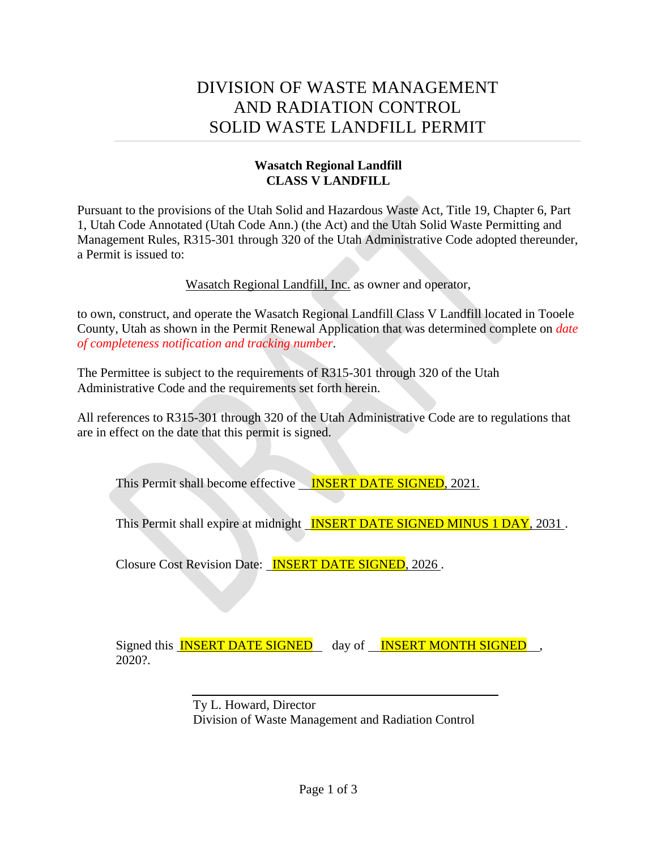# DIVISION OF WASTE MANAGEMENT AND RADIATION CONTROL SOLID WASTE LANDFILL PERMIT

## **Wasatch Regional Landfill CLASS V LANDFILL**

Pursuant to the provisions of the Utah Solid and Hazardous Waste Act, Title 19, Chapter 6, Part 1, Utah Code Annotated (Utah Code Ann.) (the Act) and the Utah Solid Waste Permitting and Management Rules, R315-301 through 320 of the Utah Administrative Code adopted thereunder, a Permit is issued to:

Wasatch Regional Landfill, Inc. as owner and operator,

to own, construct, and operate the Wasatch Regional Landfill Class V Landfill located in Tooele County, Utah as shown in the Permit Renewal Application that was determined complete on *date of completeness notification and tracking number*.

The Permittee is subject to the requirements of R315-301 through 320 of the Utah Administrative Code and the requirements set forth herein.

All references to R315-301 through 320 of the Utah Administrative Code are to regulations that are in effect on the date that this permit is signed.

This Permit shall become effective **INSERT DATE SIGNED**, 2021.

This Permit shall expire at midnight **INSERT DATE SIGNED MINUS 1 DAY**, 2031.

Closure Cost Revision Date: INSERT DATE SIGNED, 2026 .

Signed this **INSERT DATE SIGNED** day of **INSERT MONTH SIGNED**, 2020?.

> Ty L. Howard, Director Division of Waste Management and Radiation Control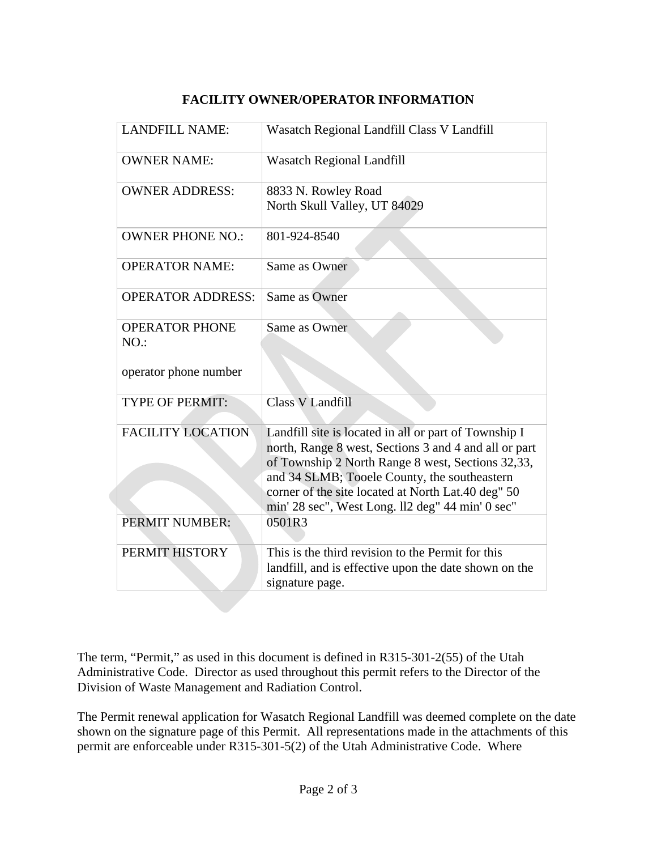| <b>LANDFILL NAME:</b>                                 | Wasatch Regional Landfill Class V Landfill                                                                                                                                                                                                                                                                                    |
|-------------------------------------------------------|-------------------------------------------------------------------------------------------------------------------------------------------------------------------------------------------------------------------------------------------------------------------------------------------------------------------------------|
| <b>OWNER NAME:</b>                                    | <b>Wasatch Regional Landfill</b>                                                                                                                                                                                                                                                                                              |
| <b>OWNER ADDRESS:</b>                                 | 8833 N. Rowley Road<br>North Skull Valley, UT 84029                                                                                                                                                                                                                                                                           |
| <b>OWNER PHONE NO.:</b>                               | 801-924-8540                                                                                                                                                                                                                                                                                                                  |
| <b>OPERATOR NAME:</b>                                 | Same as Owner                                                                                                                                                                                                                                                                                                                 |
| <b>OPERATOR ADDRESS:</b>                              | Same as Owner                                                                                                                                                                                                                                                                                                                 |
| <b>OPERATOR PHONE</b><br>NO.<br>operator phone number | Same as Owner                                                                                                                                                                                                                                                                                                                 |
| <b>TYPE OF PERMIT:</b>                                | <b>Class V Landfill</b>                                                                                                                                                                                                                                                                                                       |
| <b>FACILITY LOCATION</b>                              | Landfill site is located in all or part of Township I<br>north, Range 8 west, Sections 3 and 4 and all or part<br>of Township 2 North Range 8 west, Sections 32,33,<br>and 34 SLMB; Tooele County, the southeastern<br>corner of the site located at North Lat.40 deg" 50<br>min' 28 sec", West Long. ll2 deg" 44 min' 0 sec" |
| PERMIT NUMBER:                                        | 0501R3                                                                                                                                                                                                                                                                                                                        |
| PERMIT HISTORY                                        | This is the third revision to the Permit for this<br>landfill, and is effective upon the date shown on the<br>signature page.                                                                                                                                                                                                 |

## **FACILITY OWNER/OPERATOR INFORMATION**

The term, "Permit," as used in this document is defined in R315-301-2(55) of the Utah Administrative Code. Director as used throughout this permit refers to the Director of the Division of Waste Management and Radiation Control.

The Permit renewal application for Wasatch Regional Landfill was deemed complete on the date shown on the signature page of this Permit. All representations made in the attachments of this permit are enforceable under R315-301-5(2) of the Utah Administrative Code. Where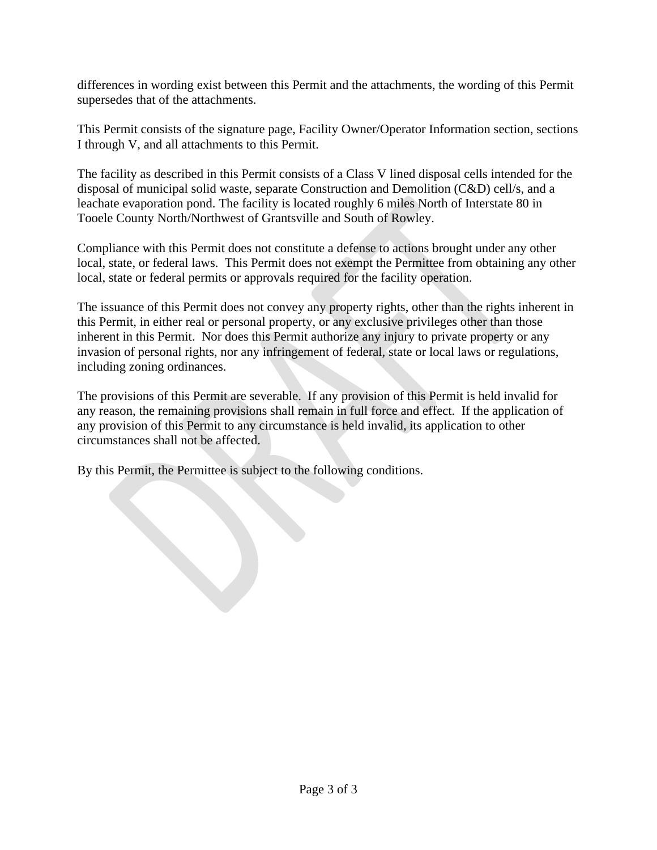differences in wording exist between this Permit and the attachments, the wording of this Permit supersedes that of the attachments.

This Permit consists of the signature page, Facility Owner/Operator Information section, sections I through V, and all attachments to this Permit.

The facility as described in this Permit consists of a Class V lined disposal cells intended for the disposal of municipal solid waste, separate Construction and Demolition (C&D) cell/s, and a leachate evaporation pond. The facility is located roughly 6 miles North of Interstate 80 in Tooele County North/Northwest of Grantsville and South of Rowley.

Compliance with this Permit does not constitute a defense to actions brought under any other local, state, or federal laws. This Permit does not exempt the Permittee from obtaining any other local, state or federal permits or approvals required for the facility operation.

The issuance of this Permit does not convey any property rights, other than the rights inherent in this Permit, in either real or personal property, or any exclusive privileges other than those inherent in this Permit. Nor does this Permit authorize any injury to private property or any invasion of personal rights, nor any infringement of federal, state or local laws or regulations, including zoning ordinances.

The provisions of this Permit are severable. If any provision of this Permit is held invalid for any reason, the remaining provisions shall remain in full force and effect. If the application of any provision of this Permit to any circumstance is held invalid, its application to other circumstances shall not be affected.

By this Permit, the Permittee is subject to the following conditions.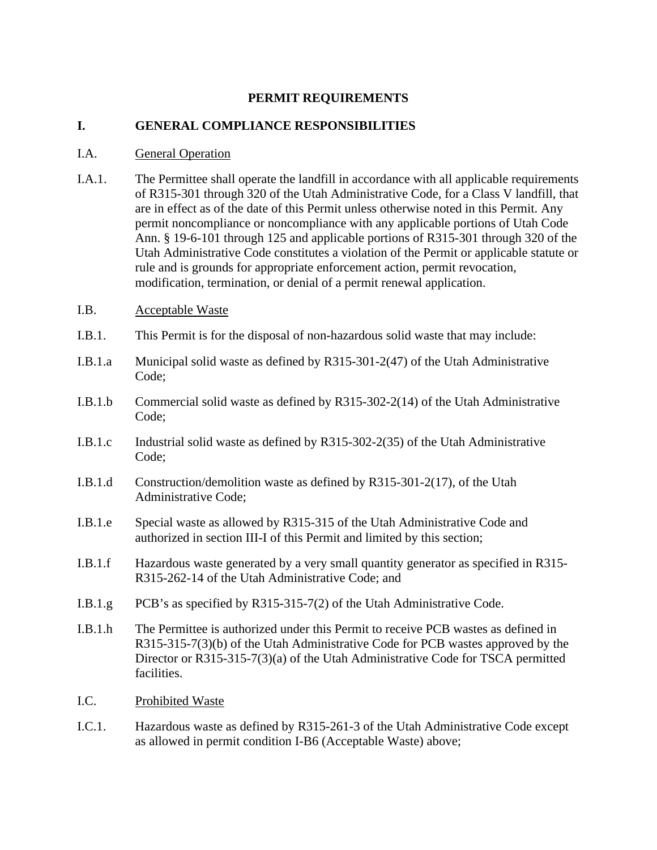#### **PERMIT REQUIREMENTS**

#### **I. GENERAL COMPLIANCE RESPONSIBILITIES**

#### I.A. General Operation

- I.A.1. The Permittee shall operate the landfill in accordance with all applicable requirements of R315-301 through 320 of the Utah Administrative Code, for a Class V landfill, that are in effect as of the date of this Permit unless otherwise noted in this Permit. Any permit noncompliance or noncompliance with any applicable portions of Utah Code Ann. § 19-6-101 through 125 and applicable portions of R315-301 through 320 of the Utah Administrative Code constitutes a violation of the Permit or applicable statute or rule and is grounds for appropriate enforcement action, permit revocation, modification, termination, or denial of a permit renewal application.
- I.B. Acceptable Waste
- I.B.1. This Permit is for the disposal of non-hazardous solid waste that may include:
- I.B.1.a Municipal solid waste as defined by R315-301-2(47) of the Utah Administrative Code;
- I.B.1.b Commercial solid waste as defined by R315-302-2(14) of the Utah Administrative Code;
- I.B.1.c Industrial solid waste as defined by R315-302-2(35) of the Utah Administrative Code;
- I.B.1.d Construction/demolition waste as defined by R315-301-2(17), of the Utah Administrative Code;
- I.B.1.e Special waste as allowed by R315-315 of the Utah Administrative Code and authorized in section III-I of this Permit and limited by this section;
- I.B.1.f Hazardous waste generated by a very small quantity generator as specified in R315- R315-262-14 of the Utah Administrative Code; and
- I.B.1.g PCB's as specified by R315-315-7(2) of the Utah Administrative Code.
- I.B.1.h The Permittee is authorized under this Permit to receive PCB wastes as defined in R315-315-7(3)(b) of the Utah Administrative Code for PCB wastes approved by the Director or R315-315-7(3)(a) of the Utah Administrative Code for TSCA permitted facilities.
- I.C. Prohibited Waste
- I.C.1. Hazardous waste as defined by R315-261-3 of the Utah Administrative Code except as allowed in permit condition I-B6 (Acceptable Waste) above;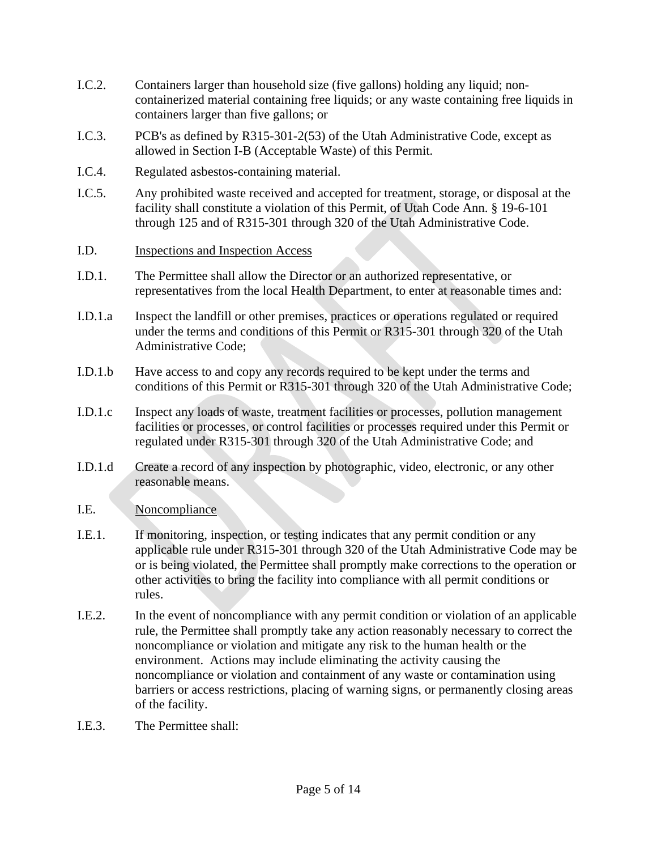- I.C.2. Containers larger than household size (five gallons) holding any liquid; noncontainerized material containing free liquids; or any waste containing free liquids in containers larger than five gallons; or
- I.C.3. PCB's as defined by R315-301-2(53) of the Utah Administrative Code, except as allowed in Section I-B (Acceptable Waste) of this Permit.
- I.C.4. Regulated asbestos-containing material.
- I.C.5. Any prohibited waste received and accepted for treatment, storage, or disposal at the facility shall constitute a violation of this Permit, of Utah Code Ann. § 19-6-101 through 125 and of R315-301 through 320 of the Utah Administrative Code.
- I.D. Inspections and Inspection Access
- I.D.1. The Permittee shall allow the Director or an authorized representative, or representatives from the local Health Department, to enter at reasonable times and:
- I.D.1.a Inspect the landfill or other premises, practices or operations regulated or required under the terms and conditions of this Permit or R315-301 through 320 of the Utah Administrative Code;
- I.D.1.b Have access to and copy any records required to be kept under the terms and conditions of this Permit or R315-301 through 320 of the Utah Administrative Code;
- I.D.1.c Inspect any loads of waste, treatment facilities or processes, pollution management facilities or processes, or control facilities or processes required under this Permit or regulated under R315-301 through 320 of the Utah Administrative Code; and
- I.D.1.d Create a record of any inspection by photographic, video, electronic, or any other reasonable means.
- I.E. Noncompliance
- I.E.1. If monitoring, inspection, or testing indicates that any permit condition or any applicable rule under R315-301 through 320 of the Utah Administrative Code may be or is being violated, the Permittee shall promptly make corrections to the operation or other activities to bring the facility into compliance with all permit conditions or rules.
- I.E.2. In the event of noncompliance with any permit condition or violation of an applicable rule, the Permittee shall promptly take any action reasonably necessary to correct the noncompliance or violation and mitigate any risk to the human health or the environment. Actions may include eliminating the activity causing the noncompliance or violation and containment of any waste or contamination using barriers or access restrictions, placing of warning signs, or permanently closing areas of the facility.
- I.E.3. The Permittee shall: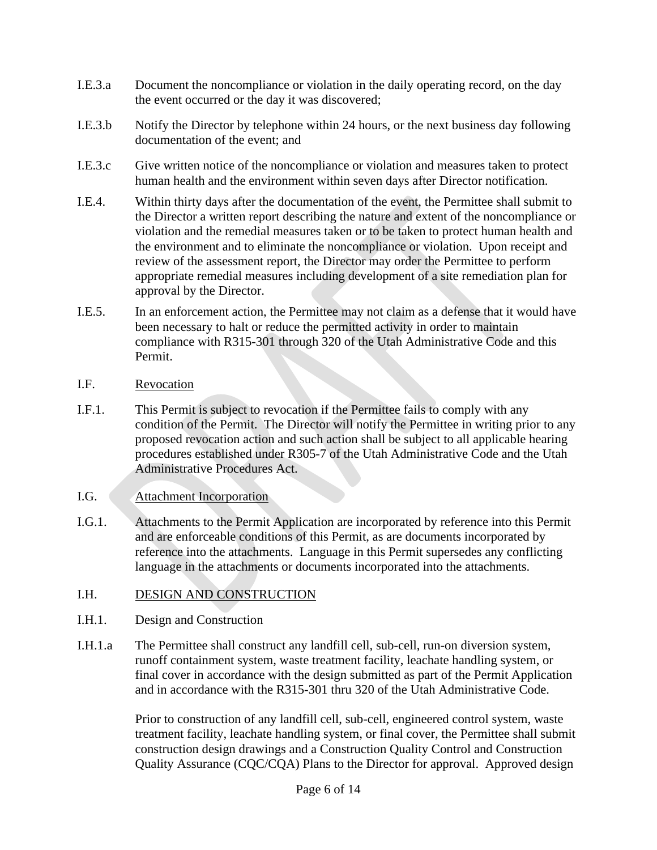- I.E.3.a Document the noncompliance or violation in the daily operating record, on the day the event occurred or the day it was discovered;
- I.E.3.b Notify the Director by telephone within 24 hours, or the next business day following documentation of the event; and
- I.E.3.c Give written notice of the noncompliance or violation and measures taken to protect human health and the environment within seven days after Director notification.
- I.E.4. Within thirty days after the documentation of the event, the Permittee shall submit to the Director a written report describing the nature and extent of the noncompliance or violation and the remedial measures taken or to be taken to protect human health and the environment and to eliminate the noncompliance or violation. Upon receipt and review of the assessment report, the Director may order the Permittee to perform appropriate remedial measures including development of a site remediation plan for approval by the Director.
- I.E.5. In an enforcement action, the Permittee may not claim as a defense that it would have been necessary to halt or reduce the permitted activity in order to maintain compliance with R315-301 through 320 of the Utah Administrative Code and this Permit.
- I.F. Revocation
- I.F.1. This Permit is subject to revocation if the Permittee fails to comply with any condition of the Permit. The Director will notify the Permittee in writing prior to any proposed revocation action and such action shall be subject to all applicable hearing procedures established under R305-7 of the Utah Administrative Code and the Utah Administrative Procedures Act.
- I.G. Attachment Incorporation
- I.G.1. Attachments to the Permit Application are incorporated by reference into this Permit and are enforceable conditions of this Permit, as are documents incorporated by reference into the attachments. Language in this Permit supersedes any conflicting language in the attachments or documents incorporated into the attachments.
- I.H. DESIGN AND CONSTRUCTION
- I.H.1. Design and Construction
- I.H.1.a The Permittee shall construct any landfill cell, sub-cell, run-on diversion system, runoff containment system, waste treatment facility, leachate handling system, or final cover in accordance with the design submitted as part of the Permit Application and in accordance with the R315-301 thru 320 of the Utah Administrative Code.

Prior to construction of any landfill cell, sub-cell, engineered control system, waste treatment facility, leachate handling system, or final cover, the Permittee shall submit construction design drawings and a Construction Quality Control and Construction Quality Assurance (CQC/CQA) Plans to the Director for approval. Approved design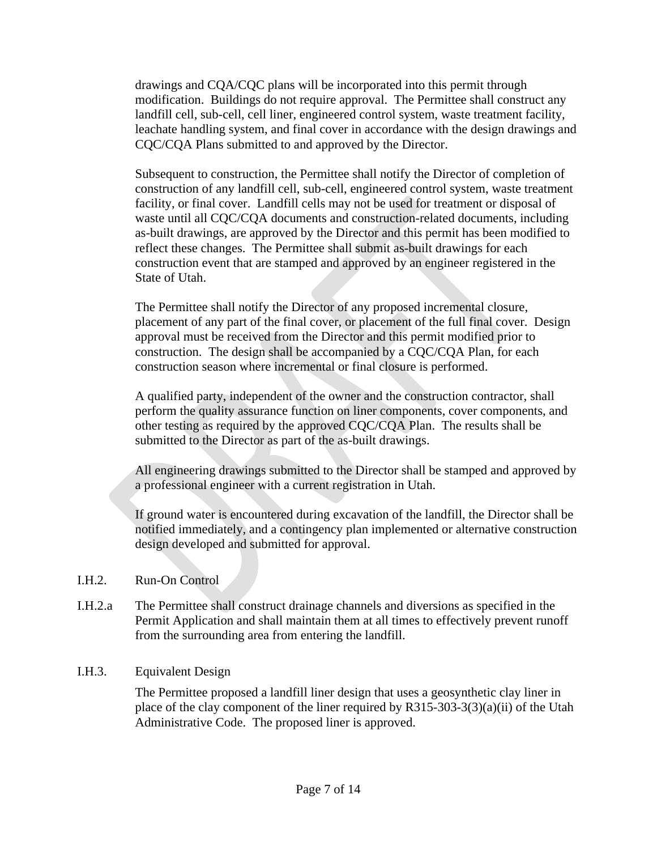drawings and CQA/CQC plans will be incorporated into this permit through modification. Buildings do not require approval. The Permittee shall construct any landfill cell, sub-cell, cell liner, engineered control system, waste treatment facility, leachate handling system, and final cover in accordance with the design drawings and CQC/CQA Plans submitted to and approved by the Director.

Subsequent to construction, the Permittee shall notify the Director of completion of construction of any landfill cell, sub-cell, engineered control system, waste treatment facility, or final cover. Landfill cells may not be used for treatment or disposal of waste until all CQC/CQA documents and construction-related documents, including as-built drawings, are approved by the Director and this permit has been modified to reflect these changes. The Permittee shall submit as-built drawings for each construction event that are stamped and approved by an engineer registered in the State of Utah.

The Permittee shall notify the Director of any proposed incremental closure, placement of any part of the final cover, or placement of the full final cover. Design approval must be received from the Director and this permit modified prior to construction. The design shall be accompanied by a CQC/CQA Plan, for each construction season where incremental or final closure is performed.

A qualified party, independent of the owner and the construction contractor, shall perform the quality assurance function on liner components, cover components, and other testing as required by the approved CQC/CQA Plan. The results shall be submitted to the Director as part of the as-built drawings.

All engineering drawings submitted to the Director shall be stamped and approved by a professional engineer with a current registration in Utah.

If ground water is encountered during excavation of the landfill, the Director shall be notified immediately, and a contingency plan implemented or alternative construction design developed and submitted for approval.

#### I.H.2. Run-On Control

I.H.2.a The Permittee shall construct drainage channels and diversions as specified in the Permit Application and shall maintain them at all times to effectively prevent runoff from the surrounding area from entering the landfill.

#### I.H.3. Equivalent Design

The Permittee proposed a landfill liner design that uses a geosynthetic clay liner in place of the clay component of the liner required by R315-303-3(3)(a)(ii) of the Utah Administrative Code. The proposed liner is approved.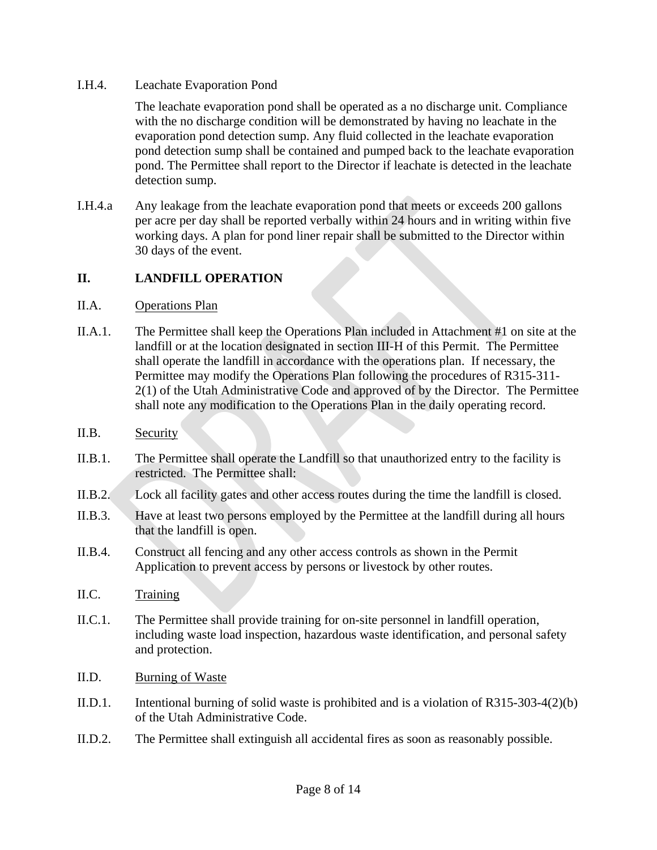#### I.H.4. Leachate Evaporation Pond

The leachate evaporation pond shall be operated as a no discharge unit. Compliance with the no discharge condition will be demonstrated by having no leachate in the evaporation pond detection sump. Any fluid collected in the leachate evaporation pond detection sump shall be contained and pumped back to the leachate evaporation pond. The Permittee shall report to the Director if leachate is detected in the leachate detection sump.

I.H.4.a Any leakage from the leachate evaporation pond that meets or exceeds 200 gallons per acre per day shall be reported verbally within 24 hours and in writing within five working days. A plan for pond liner repair shall be submitted to the Director within 30 days of the event.

## **II. LANDFILL OPERATION**

#### II.A. Operations Plan

- II.A.1. The Permittee shall keep the Operations Plan included in Attachment #1 on site at the landfill or at the location designated in section III-H of this Permit. The Permittee shall operate the landfill in accordance with the operations plan. If necessary, the Permittee may modify the Operations Plan following the procedures of R315-311- 2(1) of the Utah Administrative Code and approved of by the Director. The Permittee shall note any modification to the Operations Plan in the daily operating record.
- II.B. Security
- II.B.1. The Permittee shall operate the Landfill so that unauthorized entry to the facility is restricted. The Permittee shall:
- II.B.2. Lock all facility gates and other access routes during the time the landfill is closed.
- II.B.3. Have at least two persons employed by the Permittee at the landfill during all hours that the landfill is open.
- II.B.4. Construct all fencing and any other access controls as shown in the Permit Application to prevent access by persons or livestock by other routes.
- II.C. Training
- II.C.1. The Permittee shall provide training for on-site personnel in landfill operation, including waste load inspection, hazardous waste identification, and personal safety and protection.
- II.D. Burning of Waste
- II.D.1. Intentional burning of solid waste is prohibited and is a violation of R315-303-4(2)(b) of the Utah Administrative Code.
- II.D.2. The Permittee shall extinguish all accidental fires as soon as reasonably possible.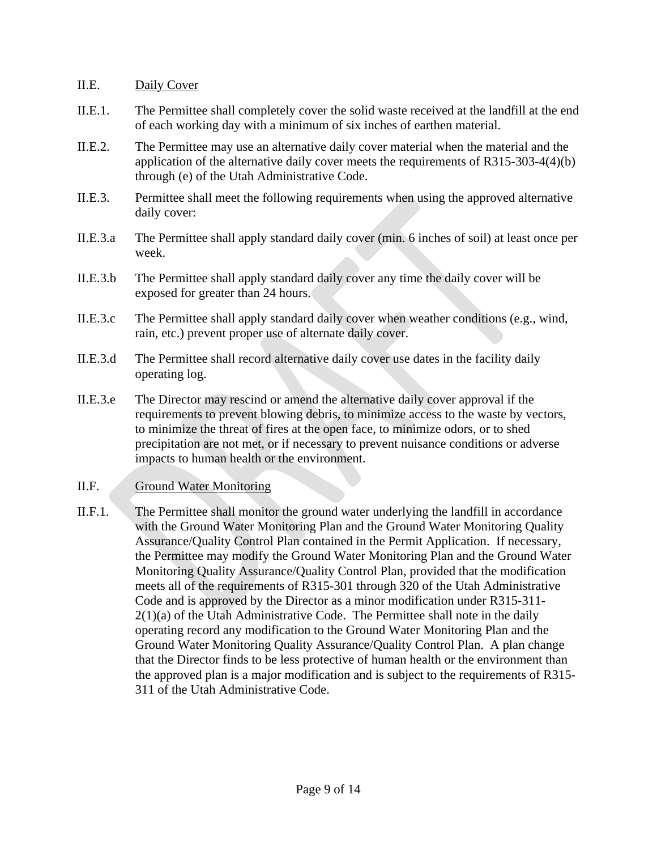#### II.E. Daily Cover

- II.E.1. The Permittee shall completely cover the solid waste received at the landfill at the end of each working day with a minimum of six inches of earthen material.
- II.E.2. The Permittee may use an alternative daily cover material when the material and the application of the alternative daily cover meets the requirements of R315-303-4(4)(b) through (e) of the Utah Administrative Code.
- II.E.3. Permittee shall meet the following requirements when using the approved alternative daily cover:
- II.E.3.a The Permittee shall apply standard daily cover (min. 6 inches of soil) at least once per week.
- II.E.3.b The Permittee shall apply standard daily cover any time the daily cover will be exposed for greater than 24 hours.
- II.E.3.c The Permittee shall apply standard daily cover when weather conditions (e.g., wind, rain, etc.) prevent proper use of alternate daily cover.
- II.E.3.d The Permittee shall record alternative daily cover use dates in the facility daily operating log.
- II.E.3.e The Director may rescind or amend the alternative daily cover approval if the requirements to prevent blowing debris, to minimize access to the waste by vectors, to minimize the threat of fires at the open face, to minimize odors, or to shed precipitation are not met, or if necessary to prevent nuisance conditions or adverse impacts to human health or the environment.

#### II.F. Ground Water Monitoring

II.F.1. The Permittee shall monitor the ground water underlying the landfill in accordance with the Ground Water Monitoring Plan and the Ground Water Monitoring Quality Assurance/Quality Control Plan contained in the Permit Application. If necessary, the Permittee may modify the Ground Water Monitoring Plan and the Ground Water Monitoring Quality Assurance/Quality Control Plan, provided that the modification meets all of the requirements of R315-301 through 320 of the Utah Administrative Code and is approved by the Director as a minor modification under R315-311- 2(1)(a) of the Utah Administrative Code. The Permittee shall note in the daily operating record any modification to the Ground Water Monitoring Plan and the Ground Water Monitoring Quality Assurance/Quality Control Plan. A plan change that the Director finds to be less protective of human health or the environment than the approved plan is a major modification and is subject to the requirements of R315- 311 of the Utah Administrative Code.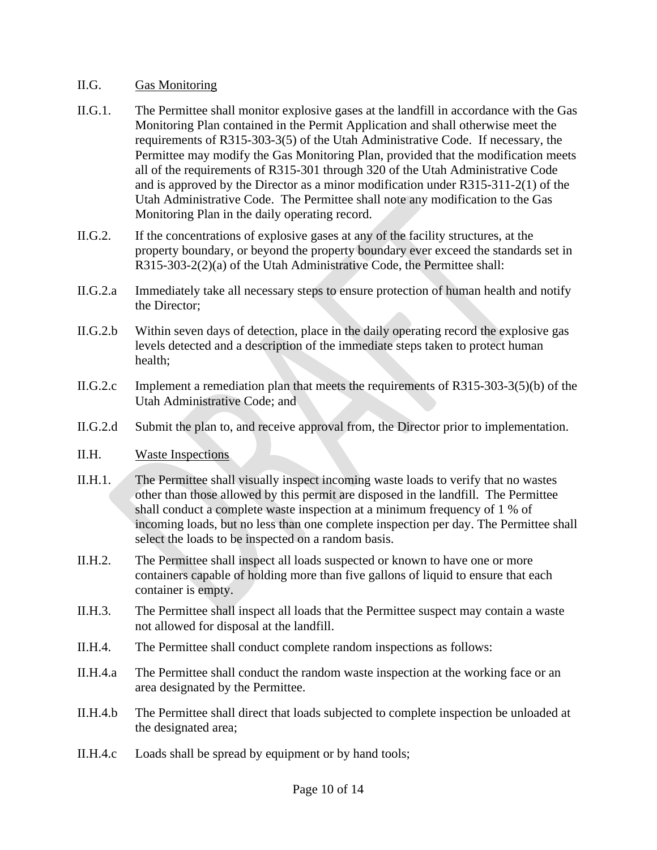#### II.G. Gas Monitoring

- II.G.1. The Permittee shall monitor explosive gases at the landfill in accordance with the Gas Monitoring Plan contained in the Permit Application and shall otherwise meet the requirements of R315-303-3(5) of the Utah Administrative Code. If necessary, the Permittee may modify the Gas Monitoring Plan, provided that the modification meets all of the requirements of R315-301 through 320 of the Utah Administrative Code and is approved by the Director as a minor modification under R315-311-2(1) of the Utah Administrative Code. The Permittee shall note any modification to the Gas Monitoring Plan in the daily operating record.
- II.G.2. If the concentrations of explosive gases at any of the facility structures, at the property boundary, or beyond the property boundary ever exceed the standards set in R315-303-2(2)(a) of the Utah Administrative Code, the Permittee shall:
- II.G.2.a Immediately take all necessary steps to ensure protection of human health and notify the Director;
- II.G.2.b Within seven days of detection, place in the daily operating record the explosive gas levels detected and a description of the immediate steps taken to protect human health;
- II.G.2.c Implement a remediation plan that meets the requirements of R315-303-3(5)(b) of the Utah Administrative Code; and
- II.G.2.d Submit the plan to, and receive approval from, the Director prior to implementation.
- II.H. Waste Inspections
- II.H.1. The Permittee shall visually inspect incoming waste loads to verify that no wastes other than those allowed by this permit are disposed in the landfill. The Permittee shall conduct a complete waste inspection at a minimum frequency of 1 % of incoming loads, but no less than one complete inspection per day. The Permittee shall select the loads to be inspected on a random basis.
- II.H.2. The Permittee shall inspect all loads suspected or known to have one or more containers capable of holding more than five gallons of liquid to ensure that each container is empty.
- II.H.3. The Permittee shall inspect all loads that the Permittee suspect may contain a waste not allowed for disposal at the landfill.
- II.H.4. The Permittee shall conduct complete random inspections as follows:
- II.H.4.a The Permittee shall conduct the random waste inspection at the working face or an area designated by the Permittee.
- II.H.4.b The Permittee shall direct that loads subjected to complete inspection be unloaded at the designated area;
- II.H.4.c Loads shall be spread by equipment or by hand tools;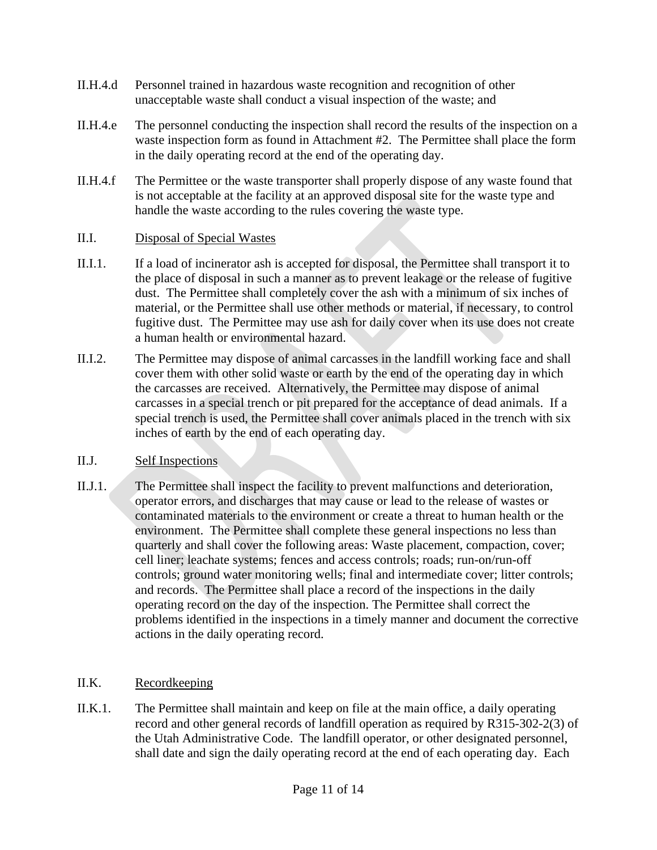- II.H.4.d Personnel trained in hazardous waste recognition and recognition of other unacceptable waste shall conduct a visual inspection of the waste; and
- II.H.4.e The personnel conducting the inspection shall record the results of the inspection on a waste inspection form as found in Attachment #2. The Permittee shall place the form in the daily operating record at the end of the operating day.
- II.H.4.f The Permittee or the waste transporter shall properly dispose of any waste found that is not acceptable at the facility at an approved disposal site for the waste type and handle the waste according to the rules covering the waste type.

#### II.I. Disposal of Special Wastes

- II.I.1. If a load of incinerator ash is accepted for disposal, the Permittee shall transport it to the place of disposal in such a manner as to prevent leakage or the release of fugitive dust. The Permittee shall completely cover the ash with a minimum of six inches of material, or the Permittee shall use other methods or material, if necessary, to control fugitive dust. The Permittee may use ash for daily cover when its use does not create a human health or environmental hazard.
- II.I.2. The Permittee may dispose of animal carcasses in the landfill working face and shall cover them with other solid waste or earth by the end of the operating day in which the carcasses are received. Alternatively, the Permittee may dispose of animal carcasses in a special trench or pit prepared for the acceptance of dead animals. If a special trench is used, the Permittee shall cover animals placed in the trench with six inches of earth by the end of each operating day.

#### II.J. Self Inspections

II.J.1. The Permittee shall inspect the facility to prevent malfunctions and deterioration, operator errors, and discharges that may cause or lead to the release of wastes or contaminated materials to the environment or create a threat to human health or the environment. The Permittee shall complete these general inspections no less than quarterly and shall cover the following areas: Waste placement, compaction, cover; cell liner; leachate systems; fences and access controls; roads; run-on/run-off controls; ground water monitoring wells; final and intermediate cover; litter controls; and records. The Permittee shall place a record of the inspections in the daily operating record on the day of the inspection. The Permittee shall correct the problems identified in the inspections in a timely manner and document the corrective actions in the daily operating record.

#### II.K. Recordkeeping

II.K.1. The Permittee shall maintain and keep on file at the main office, a daily operating record and other general records of landfill operation as required by R315-302-2(3) of the Utah Administrative Code. The landfill operator, or other designated personnel, shall date and sign the daily operating record at the end of each operating day. Each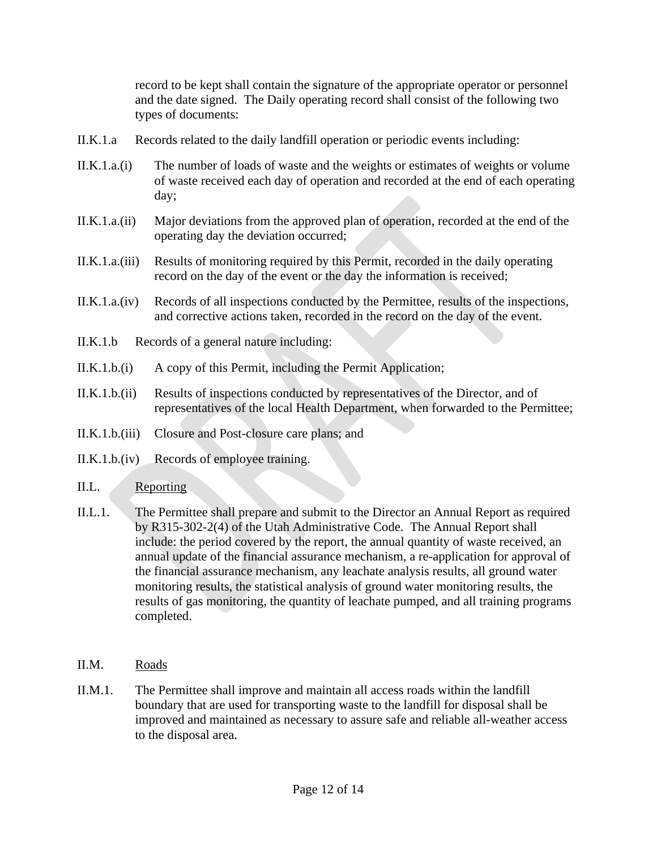record to be kept shall contain the signature of the appropriate operator or personnel and the date signed. The Daily operating record shall consist of the following two types of documents:

- II.K.1.a Records related to the daily landfill operation or periodic events including:
- II.K.1.a.(i) The number of loads of waste and the weights or estimates of weights or volume of waste received each day of operation and recorded at the end of each operating day;
- II.K.1.a.(ii) Major deviations from the approved plan of operation, recorded at the end of the operating day the deviation occurred;
- II.K.1.a.(iii) Results of monitoring required by this Permit, recorded in the daily operating record on the day of the event or the day the information is received;
- II.K.1.a.(iv) Records of all inspections conducted by the Permittee, results of the inspections, and corrective actions taken, recorded in the record on the day of the event.
- II.K.1.b Records of a general nature including:
- II.K.1.b.(i) A copy of this Permit, including the Permit Application;
- II.K.1.b.(ii) Results of inspections conducted by representatives of the Director, and of representatives of the local Health Department, when forwarded to the Permittee;
- II.K.1.b.(iii) Closure and Post-closure care plans; and
- II.K.1.b.(iv) Records of employee training.

#### II.L. Reporting

- II.L.1. The Permittee shall prepare and submit to the Director an Annual Report as required by R315-302-2(4) of the Utah Administrative Code. The Annual Report shall include: the period covered by the report, the annual quantity of waste received, an annual update of the financial assurance mechanism, a re-application for approval of the financial assurance mechanism, any leachate analysis results, all ground water monitoring results, the statistical analysis of ground water monitoring results, the results of gas monitoring, the quantity of leachate pumped, and all training programs completed.
- II.M. Roads
- II.M.1. The Permittee shall improve and maintain all access roads within the landfill boundary that are used for transporting waste to the landfill for disposal shall be improved and maintained as necessary to assure safe and reliable all-weather access to the disposal area.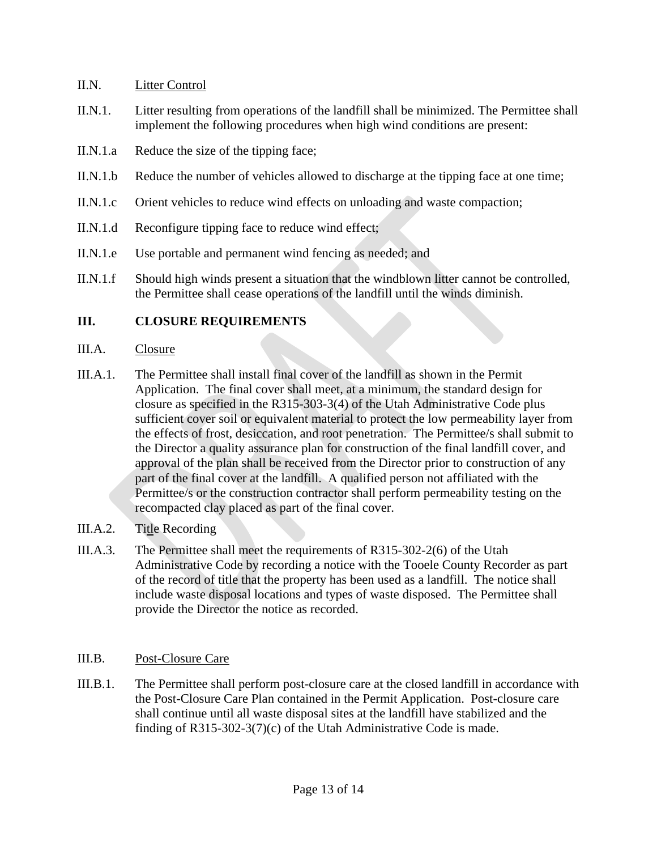#### II.N. Litter Control

- II.N.1. Litter resulting from operations of the landfill shall be minimized. The Permittee shall implement the following procedures when high wind conditions are present:
- II.N.1.a Reduce the size of the tipping face;
- II.N.1.b Reduce the number of vehicles allowed to discharge at the tipping face at one time;
- II.N.1.c Orient vehicles to reduce wind effects on unloading and waste compaction;
- II.N.1.d Reconfigure tipping face to reduce wind effect;
- II.N.1.e Use portable and permanent wind fencing as needed; and
- II.N.1.f Should high winds present a situation that the windblown litter cannot be controlled, the Permittee shall cease operations of the landfill until the winds diminish.

## **III. CLOSURE REQUIREMENTS**

#### III.A. Closure

- III.A.1. The Permittee shall install final cover of the landfill as shown in the Permit Application. The final cover shall meet, at a minimum, the standard design for closure as specified in the R315-303-3(4) of the Utah Administrative Code plus sufficient cover soil or equivalent material to protect the low permeability layer from the effects of frost, desiccation, and root penetration. The Permittee/s shall submit to the Director a quality assurance plan for construction of the final landfill cover, and approval of the plan shall be received from the Director prior to construction of any part of the final cover at the landfill. A qualified person not affiliated with the Permittee/s or the construction contractor shall perform permeability testing on the recompacted clay placed as part of the final cover.
- III.A.2. Title Recording
- III.A.3. The Permittee shall meet the requirements of R315-302-2(6) of the Utah Administrative Code by recording a notice with the Tooele County Recorder as part of the record of title that the property has been used as a landfill. The notice shall include waste disposal locations and types of waste disposed. The Permittee shall provide the Director the notice as recorded.

#### III.B. Post-Closure Care

III.B.1. The Permittee shall perform post-closure care at the closed landfill in accordance with the Post-Closure Care Plan contained in the Permit Application. Post-closure care shall continue until all waste disposal sites at the landfill have stabilized and the finding of R315-302-3(7)(c) of the Utah Administrative Code is made.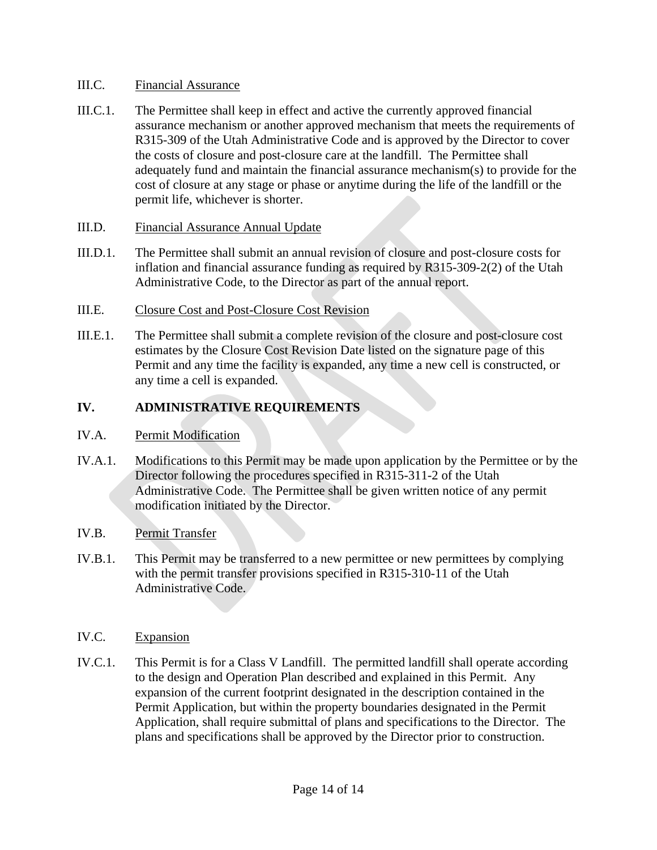#### III.C. Financial Assurance

III.C.1. The Permittee shall keep in effect and active the currently approved financial assurance mechanism or another approved mechanism that meets the requirements of R315-309 of the Utah Administrative Code and is approved by the Director to cover the costs of closure and post-closure care at the landfill. The Permittee shall adequately fund and maintain the financial assurance mechanism(s) to provide for the cost of closure at any stage or phase or anytime during the life of the landfill or the permit life, whichever is shorter.

#### III.D. Financial Assurance Annual Update

III.D.1. The Permittee shall submit an annual revision of closure and post-closure costs for inflation and financial assurance funding as required by R315-309-2(2) of the Utah Administrative Code, to the Director as part of the annual report.

#### III.E. Closure Cost and Post-Closure Cost Revision

III.E.1. The Permittee shall submit a complete revision of the closure and post-closure cost estimates by the Closure Cost Revision Date listed on the signature page of this Permit and any time the facility is expanded, any time a new cell is constructed, or any time a cell is expanded.

#### **IV. ADMINISTRATIVE REQUIREMENTS**

#### IV.A. Permit Modification

IV.A.1. Modifications to this Permit may be made upon application by the Permittee or by the Director following the procedures specified in R315-311-2 of the Utah Administrative Code. The Permittee shall be given written notice of any permit modification initiated by the Director.

#### IV.B. Permit Transfer

IV.B.1. This Permit may be transferred to a new permittee or new permittees by complying with the permit transfer provisions specified in R315-310-11 of the Utah Administrative Code.

#### IV.C. Expansion

IV.C.1. This Permit is for a Class V Landfill. The permitted landfill shall operate according to the design and Operation Plan described and explained in this Permit. Any expansion of the current footprint designated in the description contained in the Permit Application, but within the property boundaries designated in the Permit Application, shall require submittal of plans and specifications to the Director. The plans and specifications shall be approved by the Director prior to construction.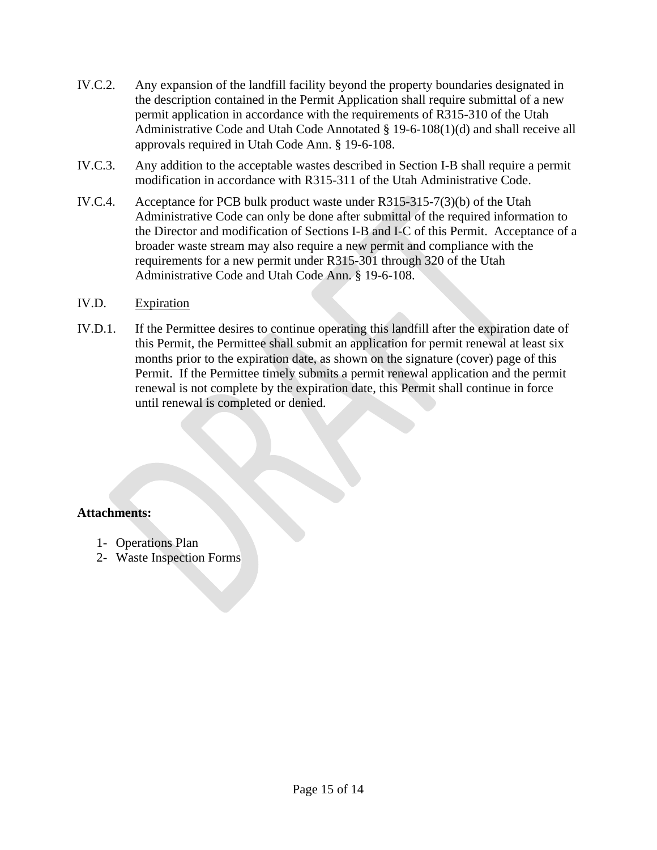- IV.C.2. Any expansion of the landfill facility beyond the property boundaries designated in the description contained in the Permit Application shall require submittal of a new permit application in accordance with the requirements of R315-310 of the Utah Administrative Code and Utah Code Annotated § 19-6-108(1)(d) and shall receive all approvals required in Utah Code Ann. § 19-6-108.
- IV.C.3. Any addition to the acceptable wastes described in Section I-B shall require a permit modification in accordance with R315-311 of the Utah Administrative Code.
- IV.C.4. Acceptance for PCB bulk product waste under R315-315-7(3)(b) of the Utah Administrative Code can only be done after submittal of the required information to the Director and modification of Sections I-B and I-C of this Permit. Acceptance of a broader waste stream may also require a new permit and compliance with the requirements for a new permit under R315-301 through 320 of the Utah Administrative Code and Utah Code Ann. § 19-6-108.

#### IV.D. Expiration

IV.D.1. If the Permittee desires to continue operating this landfill after the expiration date of this Permit, the Permittee shall submit an application for permit renewal at least six months prior to the expiration date, as shown on the signature (cover) page of this Permit. If the Permittee timely submits a permit renewal application and the permit renewal is not complete by the expiration date, this Permit shall continue in force until renewal is completed or denied.

#### **Attachments:**

- 1- Operations Plan
- 2- Waste Inspection Forms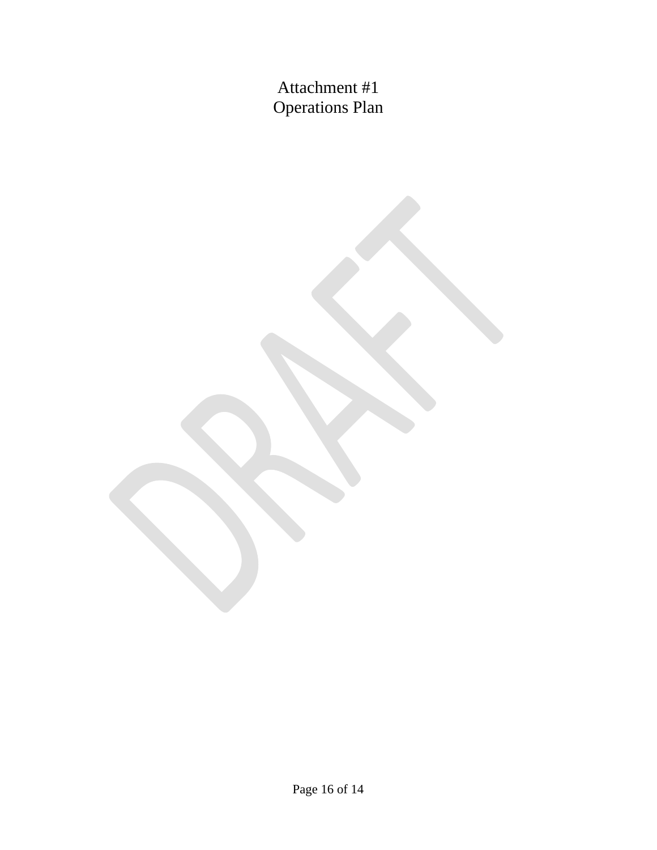Attachment #1 Operations Plan